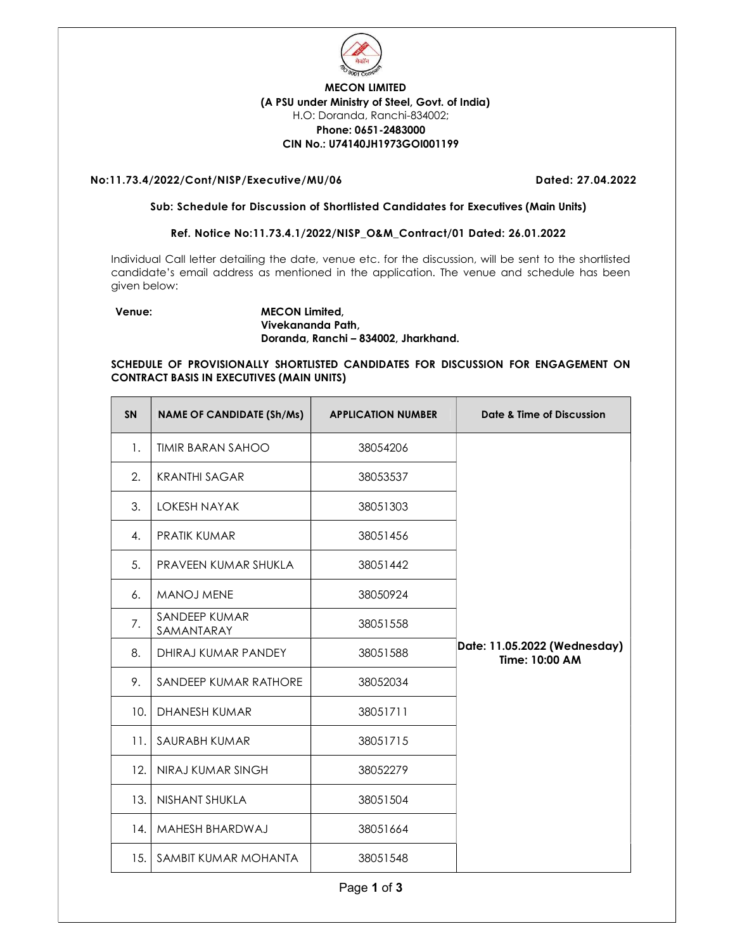

# MECON LIMITED (A PSU under Ministry of Steel, Govt. of India) H.O: Doranda, Ranchi-834002; Phone: 0651-2483000 CIN No.: U74140JH1973GOI001199

# No:11.73.4/2022/Cont/NISP/Executive/MU/06 Dated: 27.04.2022

#### Sub: Schedule for Discussion of Shortlisted Candidates for Executives (Main Units)

# Ref. Notice No:11.73.4.1/2022/NISP\_O&M\_Contract/01 Dated: 26.01.2022

Individual Call letter detailing the date, venue etc. for the discussion, will be sent to the shortlisted candidate's email address as mentioned in the application. The venue and schedule has been given below:

## Venue: MECON Limited, Vivekananda Path, Doranda, Ranchi – 834002, Jharkhand.

# SCHEDULE OF PROVISIONALLY SHORTLISTED CANDIDATES FOR DISCUSSION FOR ENGAGEMENT ON CONTRACT BASIS IN EXECUTIVES (MAIN UNITS)

| <b>SN</b> | <b>NAME OF CANDIDATE (Sh/Ms)</b> | <b>APPLICATION NUMBER</b> | Date & Time of Discussion                      |
|-----------|----------------------------------|---------------------------|------------------------------------------------|
| 1.        | <b>TIMIR BARAN SAHOO</b>         | 38054206                  |                                                |
| 2.        | <b>KRANTHI SAGAR</b>             | 38053537                  |                                                |
| 3.        | <b>LOKESH NAYAK</b>              | 38051303                  |                                                |
| 4.        | <b>PRATIK KUMAR</b>              | 38051456                  |                                                |
| 5.        | PRAVEEN KUMAR SHUKLA             | 38051442                  |                                                |
| 6.        | <b>MANOJ MENE</b>                | 38050924                  |                                                |
| 7.        | SANDEEP KUMAR<br>SAMANTARAY      | 38051558                  |                                                |
| 8.        | DHIRAJ KUMAR PANDEY              | 38051588                  | Date: 11.05.2022 (Wednesday)<br>Time: 10:00 AM |
| 9.        | SANDEEP KUMAR RATHORE            | 38052034                  |                                                |
| 10.       | <b>DHANESH KUMAR</b>             | 38051711                  |                                                |
| 11.       | SAURABH KUMAR                    | 38051715                  |                                                |
| 12.       | NIRAJ KUMAR SINGH                | 38052279                  |                                                |
| 13.       | NISHANT SHUKLA                   | 38051504                  |                                                |
| 14.       | MAHESH BHARDWAJ                  | 38051664                  |                                                |
| 15.       | SAMBIT KUMAR MOHANTA             | 38051548                  |                                                |

Page 1 of 3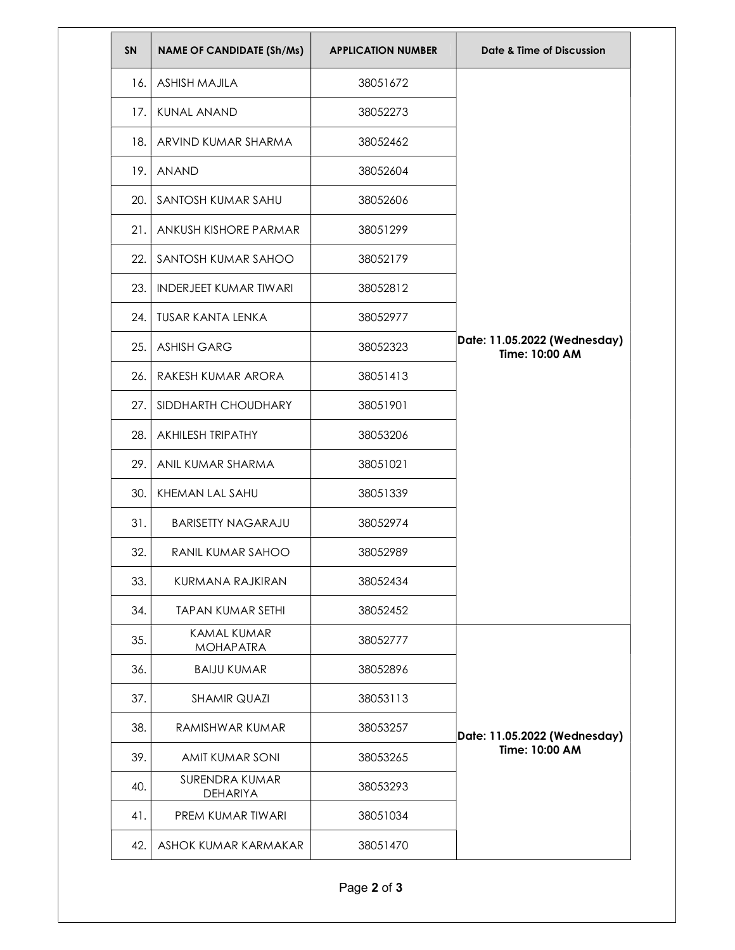| SN    | <b>NAME OF CANDIDATE (Sh/Ms)</b>       | <b>APPLICATION NUMBER</b> | Date & Time of Discussion                      |
|-------|----------------------------------------|---------------------------|------------------------------------------------|
| 16. I | <b>ASHISH MAJILA</b>                   | 38051672                  | Date: 11.05.2022 (Wednesday)<br>Time: 10:00 AM |
| 17.1  | <b>KUNAL ANAND</b>                     | 38052273                  |                                                |
| 18.1  | ARVIND KUMAR SHARMA                    | 38052462                  |                                                |
| 19.   | <b>ANAND</b>                           | 38052604                  |                                                |
| 20.   | SANTOSH KUMAR SAHU                     | 38052606                  |                                                |
| 21.   | ANKUSH KISHORE PARMAR                  | 38051299                  |                                                |
| 22.   | SANTOSH KUMAR SAHOO                    | 38052179                  |                                                |
| 23.   | <b>INDERJEET KUMAR TIWARI</b>          | 38052812                  |                                                |
| 24.   | TUSAR KANTA LENKA                      | 38052977                  |                                                |
| 25.   | <b>ASHISH GARG</b>                     | 38052323                  |                                                |
| 26.   | RAKESH KUMAR ARORA                     | 38051413                  |                                                |
| 27.   | SIDDHARTH CHOUDHARY                    | 38051901                  |                                                |
| 28.   | AKHILESH TRIPATHY                      | 38053206                  |                                                |
| 29.   | ANIL KUMAR SHARMA                      | 38051021                  |                                                |
| 30.   | KHEMAN LAL SAHU                        | 38051339                  |                                                |
| 31.   | <b>BARISETTY NAGARAJU</b>              | 38052974                  |                                                |
| 32.   | <b>RANIL KUMAR SAHOO</b>               | 38052989                  |                                                |
| 33.   | KURMANA RAJKIRAN                       | 38052434                  |                                                |
| 34.   | <b>TAPAN KUMAR SETHI</b>               | 38052452                  |                                                |
| 35.   | <b>KAMAL KUMAR</b><br><b>MOHAPATRA</b> | 38052777                  | Date: 11.05.2022 (Wednesday)<br>Time: 10:00 AM |
| 36.   | <b>BAIJU KUMAR</b>                     | 38052896                  |                                                |
| 37.   | <b>SHAMIR QUAZI</b>                    | 38053113                  |                                                |
| 38.   | RAMISHWAR KUMAR                        | 38053257                  |                                                |
| 39.   | AMIT KUMAR SONI                        | 38053265                  |                                                |
| 40.   | SURENDRA KUMAR<br><b>DEHARIYA</b>      | 38053293                  |                                                |
| 41.   | PREM KUMAR TIWARI                      | 38051034                  |                                                |
| 42.   | ASHOK KUMAR KARMAKAR                   | 38051470                  |                                                |